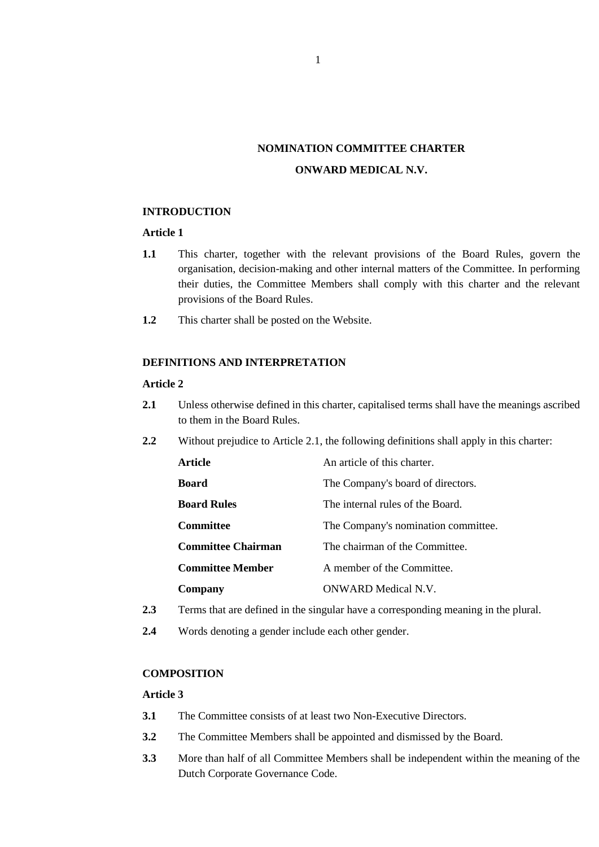# **NOMINATION COMMITTEE CHARTER ONWARD MEDICAL N.V.**

#### **INTRODUCTION**

## **Article 1**

- **1.1** This charter, together with the relevant provisions of the Board Rules, govern the organisation, decision-making and other internal matters of the Committee. In performing their duties, the Committee Members shall comply with this charter and the relevant provisions of the Board Rules.
- **1.2** This charter shall be posted on the Website.

## **DEFINITIONS AND INTERPRETATION**

#### **Article 2**

- <span id="page-0-0"></span>**2.1** Unless otherwise defined in this charter, capitalised terms shall have the meanings ascribed to them in the Board Rules.
- **2.2** Without prejudice to Article [2.1,](#page-0-0) the following definitions shall apply in this charter:

| Article                   | An article of this charter.         |
|---------------------------|-------------------------------------|
| <b>Board</b>              | The Company's board of directors.   |
| <b>Board Rules</b>        | The internal rules of the Board.    |
| Committee                 | The Company's nomination committee. |
| <b>Committee Chairman</b> | The chairman of the Committee.      |
| <b>Committee Member</b>   | A member of the Committee.          |
| Company                   | ONWARD Medical N.V.                 |

- **2.3** Terms that are defined in the singular have a corresponding meaning in the plural.
- **2.4** Words denoting a gender include each other gender.

#### **COMPOSITION**

#### **Article 3**

- **3.1** The Committee consists of at least two Non-Executive Directors.
- **3.2** The Committee Members shall be appointed and dismissed by the Board.
- **3.3** More than half of all Committee Members shall be independent within the meaning of the Dutch Corporate Governance Code.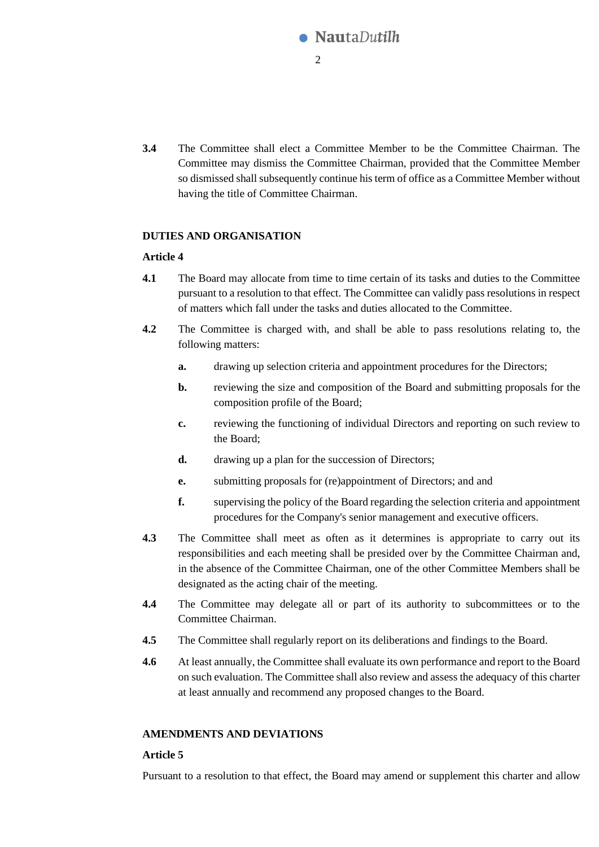

**3.4** The Committee shall elect a Committee Member to be the Committee Chairman. The Committee may dismiss the Committee Chairman, provided that the Committee Member so dismissed shall subsequently continue his term of office as a Committee Member without having the title of Committee Chairman.

### **DUTIES AND ORGANISATION**

### **Article 4**

- **4.1** The Board may allocate from time to time certain of its tasks and duties to the Committee pursuant to a resolution to that effect. The Committee can validly pass resolutions in respect of matters which fall under the tasks and duties allocated to the Committee.
- **4.2** The Committee is charged with, and shall be able to pass resolutions relating to, the following matters:
	- **a.** drawing up selection criteria and appointment procedures for the Directors;
	- **b.** reviewing the size and composition of the Board and submitting proposals for the composition profile of the Board;
	- **c.** reviewing the functioning of individual Directors and reporting on such review to the Board;
	- **d.** drawing up a plan for the succession of Directors;
	- **e.** submitting proposals for (re)appointment of Directors; and and
	- **f.** supervising the policy of the Board regarding the selection criteria and appointment procedures for the Company's senior management and executive officers.
- **4.3** The Committee shall meet as often as it determines is appropriate to carry out its responsibilities and each meeting shall be presided over by the Committee Chairman and, in the absence of the Committee Chairman, one of the other Committee Members shall be designated as the acting chair of the meeting.
- **4.4** The Committee may delegate all or part of its authority to subcommittees or to the Committee Chairman.
- **4.5** The Committee shall regularly report on its deliberations and findings to the Board.
- **4.6** At least annually, the Committee shall evaluate its own performance and report to the Board on such evaluation. The Committee shall also review and assess the adequacy of this charter at least annually and recommend any proposed changes to the Board.

## **AMENDMENTS AND DEVIATIONS**

### **Article 5**

Pursuant to a resolution to that effect, the Board may amend or supplement this charter and allow